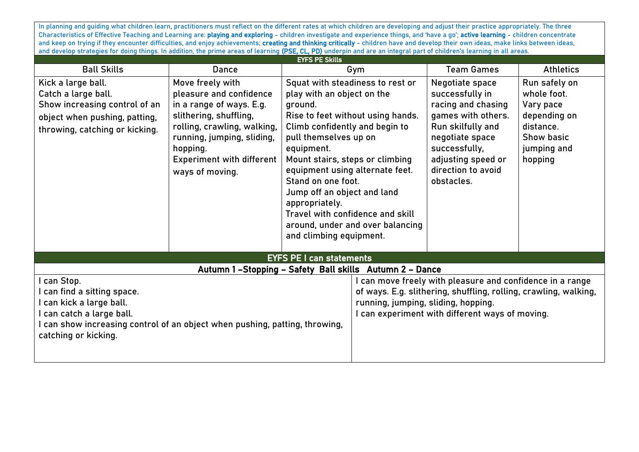In planning and guiding what children learn, practitioners must reflect on the different rates at which children are developing and adjust their practice appropriately. The three Characteristics of Effective Teaching and Learning are: playing and exploring - children investigate and experience things, and 'have a go'; active learning - children concentrate and keep on trying if they encounter difficulties, and enjoy achievements; creating and thinking critically - children have and develop their own ideas, make links between ideas, and develop strategies for doing things. In addition, the prime areas of learning (PSE, CL, PD) underpin and are an integral part of children's learning in all areas.

| <b>EYFS PE Skills</b>                                                                                                                                                                                      |                                                                                                                                                                                                                                   |                                                                                                                                                                                                                                                                                                                                                                                                                                         |                                                                                                                                                                                                                     |                                                                                                                                                                                                   |                                                                                                                       |  |
|------------------------------------------------------------------------------------------------------------------------------------------------------------------------------------------------------------|-----------------------------------------------------------------------------------------------------------------------------------------------------------------------------------------------------------------------------------|-----------------------------------------------------------------------------------------------------------------------------------------------------------------------------------------------------------------------------------------------------------------------------------------------------------------------------------------------------------------------------------------------------------------------------------------|---------------------------------------------------------------------------------------------------------------------------------------------------------------------------------------------------------------------|---------------------------------------------------------------------------------------------------------------------------------------------------------------------------------------------------|-----------------------------------------------------------------------------------------------------------------------|--|
| <b>Ball Skills</b>                                                                                                                                                                                         | Dance                                                                                                                                                                                                                             | Gym                                                                                                                                                                                                                                                                                                                                                                                                                                     |                                                                                                                                                                                                                     | <b>Team Games</b>                                                                                                                                                                                 | <b>Athletics</b>                                                                                                      |  |
| Kick a large ball.<br>Catch a large ball.<br>Show increasing control of an<br>object when pushing, patting,<br>throwing, catching or kicking.                                                              | Move freely with<br>pleasure and confidence<br>in a range of ways. E.g.<br>slithering, shuffling,<br>rolling, crawling, walking,<br>running, jumping, sliding,<br>hopping.<br><b>Experiment with different</b><br>ways of moving. | Squat with steadiness to rest or<br>play with an object on the<br>ground.<br>Rise to feet without using hands.<br>Climb confidently and begin to<br>pull themselves up on<br>equipment.<br>Mount stairs, steps or climbing<br>equipment using alternate feet.<br>Stand on one foot.<br>Jump off an object and land<br>appropriately.<br>Travel with confidence and skill<br>around, under and over balancing<br>and climbing equipment. |                                                                                                                                                                                                                     | Negotiate space<br>successfully in<br>racing and chasing<br>games with others.<br>Run skilfully and<br>negotiate space<br>successfully,<br>adjusting speed or<br>direction to avoid<br>obstacles. | Run safely on<br>whole foot.<br>Vary pace<br>depending on<br>distance.<br><b>Show basic</b><br>jumping and<br>hopping |  |
| <b>EYFS PE I can statements</b>                                                                                                                                                                            |                                                                                                                                                                                                                                   |                                                                                                                                                                                                                                                                                                                                                                                                                                         |                                                                                                                                                                                                                     |                                                                                                                                                                                                   |                                                                                                                       |  |
| Autumn 1-Stopping - Safety Ball skills Autumn 2 - Dance                                                                                                                                                    |                                                                                                                                                                                                                                   |                                                                                                                                                                                                                                                                                                                                                                                                                                         |                                                                                                                                                                                                                     |                                                                                                                                                                                                   |                                                                                                                       |  |
| I can Stop.<br>I can find a sitting space.<br>I can kick a large ball.<br>I can catch a large ball.<br>I can show increasing control of an object when pushing, patting, throwing,<br>catching or kicking. |                                                                                                                                                                                                                                   |                                                                                                                                                                                                                                                                                                                                                                                                                                         | can move freely with pleasure and confidence in a range<br>of ways. E.g. slithering, shuffling, rolling, crawling, walking,<br>running, jumping, sliding, hopping.<br>can experiment with different ways of moving. |                                                                                                                                                                                                   |                                                                                                                       |  |